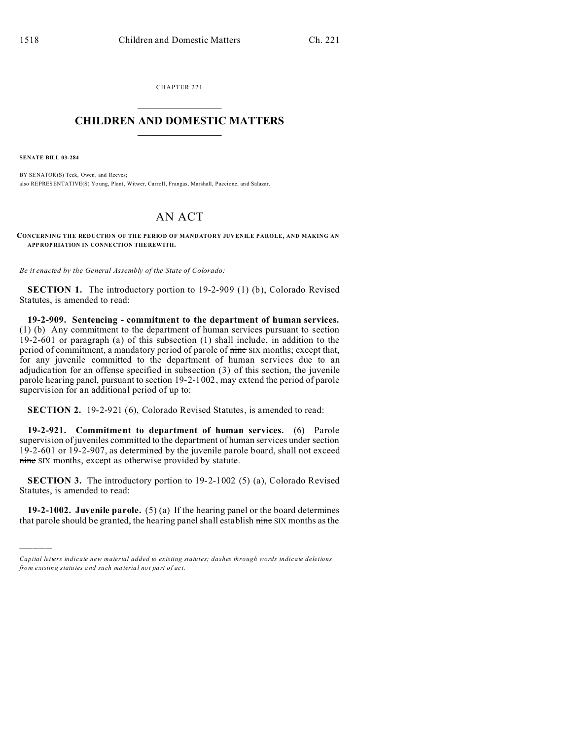CHAPTER 221  $\overline{\phantom{a}}$  , where  $\overline{\phantom{a}}$ 

## **CHILDREN AND DOMESTIC MATTERS**  $\_$   $\_$

**SENATE BILL 03-284**

)))))

BY SENATOR(S) Teck, Owen, and Reeves; also REPRESENTATIVE(S) Yo ung, Plant, Witwer, Carroll, Frangas, Marshall, Paccione, and Salazar.

## AN ACT

**CONCERNING THE REDUCTION OF THE PERIOD OF MANDATORY JUVENILE PAROLE, AND MAKING AN APP ROP RIATION IN CONNE CTION THE REW ITH.**

*Be it enacted by the General Assembly of the State of Colorado:*

**SECTION 1.** The introductory portion to 19-2-909 (1) (b), Colorado Revised Statutes, is amended to read:

**19-2-909. Sentencing - commitment to the department of human services.** (1) (b) Any commitment to the department of human services pursuant to section 19-2-601 or paragraph (a) of this subsection (1) shall include, in addition to the period of commitment, a mandatory period of parole of nine SIX months; except that, for any juvenile committed to the department of human services due to an adjudication for an offense specified in subsection (3) of this section, the juvenile parole hearing panel, pursuant to section 19-2-1002, may extend the period of parole supervision for an additional period of up to:

**SECTION 2.** 19-2-921 (6), Colorado Revised Statutes, is amended to read:

**19-2-921. Commitment to department of human services.** (6) Parole supervision of juveniles committed to the department of human services under section 19-2-601 or 19-2-907, as determined by the juvenile parole board, shall not exceed nine SIX months, except as otherwise provided by statute.

**SECTION 3.** The introductory portion to 19-2-1002 (5) (a), Colorado Revised Statutes, is amended to read:

**19-2-1002. Juvenile parole.** (5) (a) If the hearing panel or the board determines that parole should be granted, the hearing panel shall establish nine SIX months as the

*Capital letters indicate new material added to existing statutes; dashes through words indicate deletions from e xistin g statu tes a nd such ma teria l no t pa rt of ac t.*